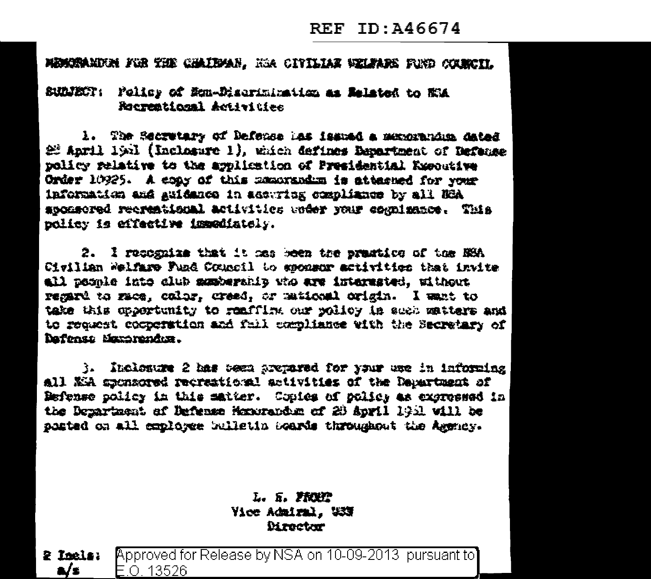## REF ID: A46674

MEMORANDEN FOR THE CHAIRMAN. HOA CITILIAE WELFARE FORD COUNCIL

## SUDJECT: Folicy of Mon-Diserimination as Related to NM Recreational Activities

1. The Secretary of Defense has issued a manorandum dated 22 Anril 1931 (Inclusive 1), which defines Benartment of Hefanse policy relative to the application of Presidential Executive Order 10925. A coas of this meansadim is attenued for your information and guidance in accuring compliance by all NCA accessed recreational activities weer your comminates. This policy is effective impodiately.

2. I recognize that it has been the prastice of the NSA Civilian Welfare Fund Council to sponsor activities that invite all people into alub manberahip who are interested, without remard to race, color, creed, or maticaal origin. I want to take this opportunity to reafflix our rolley in such matters and to request cooperation and fail compliance with the Secretary of Dafonse Margrandez.

3. Inclesure 2 has been arepared for your use in informing all KR sponsored recreational activities of the Department of Befense policy in this matter. Copies of policy as excressed in the Department of Defense Monorandum of 20 April 1931 will be santed on all conloyee bulletin Soards throughout the Agency.

## L. R. FREE Vice Admiral. USS **Mrector**

Approved for Release by NSA on 10-09-2013 pursuant to  $2$  Inclar a/s F O 13526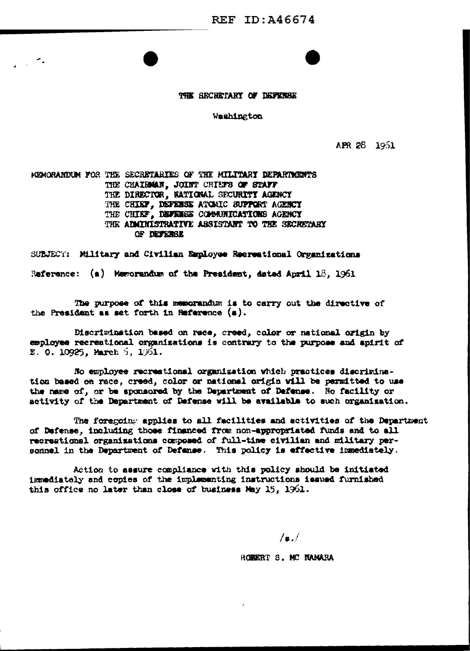THE SECRETARY OF DEFENSE

Washington

APR 28 1951

MEMORANDUM FOR THE SECRETARIES OF THE MILITARY DEPARTMENTS THE CHAIRMAN, JOINT CHIEFS OF STAFF THE DIRECTOR, NATIONAL SECURITY AGENCY THE CHIEF, DEFENSE ATOMIC SUPPORT AGENCY THE CHIEF, DEFENSE COMMUNICATIONS AGENCY THE ADMITISTRATIVE ASSISTANT TO THE SECRETARY OF DEFERE

۰.

SUBJECT: Military and Civilian Employee Recreational Organizations

Reference:  $(a)$  Memorandum of the President, dated April 18, 1961

The purpose of this memorandum is to carry out the directive of the President as set forth in Meference (a).

Discrimination based on race, creed, color or national origin by employee recreational organizations is contrary to the purpose and apirit of  $\S. 0.10925$ , March 5, 1961.

No employee recreational organization which practices discrimination based on race, creed, color or national origin will be permitted to use the name of, or be sponsored by the Department of Defense. No facility or activity of the Department of Defense will be available to such organization.

The foregoing applies to all facilities and activities of the Department of Defense, including those financed from non-appropriated funds and to all recreational organizations composed of full-time civilian and military personnel in the Department of Defanse. This policy is effective immediately.

Action to assure compliance with this policy should be initiated immediately and copies of the implementing instructions issued furnished this office no later than close of business May  $15$ ,  $1961$ .

 $\sqrt{a}$ .

ROBERT S. MC NAMARA